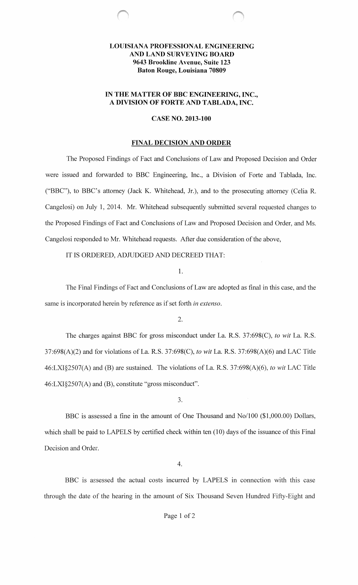# **LOUISIANA PROFESSIONAL ENGINEERING AND LAND SURVEYING BOARD 9643 Brookline Avenue, Suite 123 Baton Rouge, Louisiana 70809**

# IN **THE MATTER OF BBC ENGINEERING, INC., A DIVISION OF FORTE AND TABLADA, INC.**

### **CASE NO. 2013-100**

### **FINAL DECISION AND ORDER**

The Proposed Findings of Fact and Conclusions of Law and Proposed Decision and Order were issued and forwarded to BBC Engineering, Inc., a Division of Forte and Tablada, Inc. ("BBC"), to BBC's attorney (Jack K. Whitehead, Jr.), and to the prosecuting attorney (Celia R. Cangelosi) on July **1,** 2014. Mr. Whitehead subsequently submitted several requested changes to the Proposed Findings of Fact and Conclusions of Law and Proposed Decision and Order, and Ms. Cangelosi responded to Mr. Whitehead requests. After due consideration of the above,

IT IS ORDERED, ADJUDGED AND DECREED THAT:

1.

The Final Findings of Fact and Conclusions of Law are adopted as final in this case, and the same is incorporated herein by reference as if set forth *in extenso*.

2.

The charges against BBC for gross misconduct under La. R.S. 37:698(C), *to wit* La. R.S. 37:698(A)(2) and for violations of La. R.S. 37:698(C), *to wit* La. R.S. 37:698(A)(6) and LAC Title 46:LXI§2507(A) and (B) are sustained. The violations of La. R.S. 37:698(A)(6), *to wit* LAC Title 46:LXI§2507(A) and (B), constitute "gross misconduct".

3.

BBC is assessed a fine in the amount of One Thousand and No/100 (\$1,000.00) Dollars, which shall be paid to LAPELS by certified check within ten (10) days of the issuance of this Final Decision and Order.

4.

BBC is assessed the actual costs incurred by LAPELS in connection with this case through the date of the hearing in the amount of Six Thousand Seven Hundred Fifty-Eight and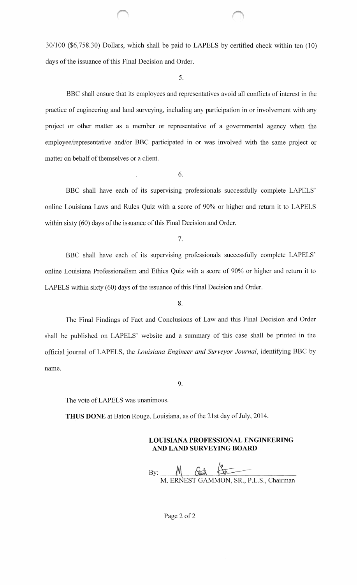30/100 (\$6,758.30) Dollars, which shall be paid to LAPELS by certified check within ten (10) days of the issuance of this Final Decision and Order.

5.

BBC shall ensure that its employees and representatives avoid all conflicts of interest in the practice of engineering and land surveying, including any participation in or involvement with any project or other matter as a member or representative of a governmental agency when the employee/representative and/or BBC participated in or was involved with the same project or matter on behalf of themselves or a client.

6.

BBC shall have each of its supervising professionals successfully complete LAPELS' online Louisiana Laws and Rules Quiz with a score of 90% or higher and return it to LAPELS within sixty (60) days of the issuance of this Final Decision and Order.

7.

BBC shall have each of its supervising professionals successfully complete LAPELS' online Louisiana Professionalism and Ethics Quiz with a score of 90% or higher and return it to LAPELS within sixty (60) days of the issuance of this Final Decision and Order.

8.

The Final Findings of Fact and Conclusions of Law and this Final Decision and Order shall be published on LAPELS' website and a summary of this case shall be printed in the official journal of LAPELS, the *Louisiana Engineer and Surveyor Journal*, identifying BBC by name.

9.

The vote of LAPELS was unanimous.

**THUS DONE** at Baton Rouge, Louisiana, as of the 21st day of July, 2014.

# **LOUISIANA PROFESSIONAL ENGINEERING AND LAND SURVEYING BOARD**

M. ERNEST GAMMON, SR., P.L.S., Chairman

Page 2 of 2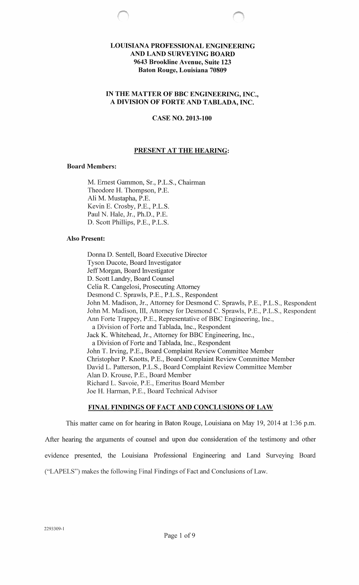# **LOUISIANA PROFESSIONAL ENGINEERING AND LAND SURVEYING BOARD 9643 Brookline Avenue, Suite 123 Baton Rouge, Louisiana 70809**

## **IN THE MATTER OF BBC ENGINEERING, INC., A DIVISION OF FORTE AND TABLADA, INC.**

# **CASE NO. 2013-100**

## **PRESENT AT THE HEARING:**

### **Board Members:**

M. Ernest Gammon, Sr., P.L.S., Chairman Theodore H. Thompson, P.E. Ali M. Mustapha, P.E. Kevin E. Crosby, P.E., P.L.S. Paul N. Hale, Jr., Ph.D., P.E. D. Scott Phillips, P.E., P.L.S.

### **Also Present:**

Donna D. Sentell, Board Executive Director Tyson Ducote, Board Investigator Jeff Morgan, Board Investigator D. Scott Landry, Board Counsel Celia R. Cangelosi, Prosecuting Attorney Desmond C. Sprawls, P.E., P.L.S., Respondent John M. Madison, Jr., Attorney for Desmond C. Sprawls, P.E., P.L.S., Respondent John M. Madison, III, Attorney for Desmond C. Sprawls, P.E., P.L.S., Respondent Ann Forte Trappey, P.E., Representative of BBC Engineering, Inc., a Division of Forte and Tablada, Inc., Respondent Jack K. Whitehead, Jr., Attorney for BBC Engineering, Inc., a Division of Forte and Tablada, Inc., Respondent John T. Irving, P.E., Board Complaint Review Committee Member Christopher P. Knotts, P .E., Board Complaint Review Committee Member David L. Patterson, P.L.S., Board Complaint Review Committee Member Alan D. Krouse, P.E., Board Member Richard L. Savoie, P.E., Emeritus Board Member Joe H. Harman, P.E., Board Technical Advisor

### **FINAL FINDINGS OF FACT AND CONCLUSIONS OF LAW**

This matter came on for hearing in Baton Rouge, Louisiana on May 19, 2014 at 1:36 p.m. After hearing the arguments of counsel and upon due consideration of the testimony and other evidence presented, the Louisiana Professional Engineering and Land Surveying Board ("LAPELS") makes the following Final Findings of Fact and Conclusions of Law.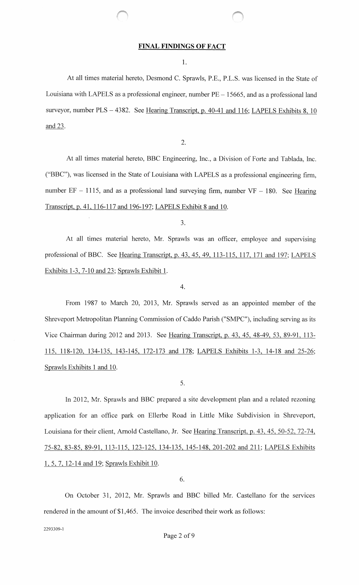#### **FINAL FINDINGS OF FACT**

**1.** 

At all times material hereto, Desmond C. Sprawls, P.E., P.L.S. was licensed in the State of Louisiana with LAPELS as a professional engineer, number  $PE-15665$ , and as a professional land surveyor, number PLS - 4382. See Hearing Transcript, p. 40-41 and 116; LAPELS Exhibits 8, 10 and 23.

2.

At all times material hereto, BBC Engineering, Inc., a Division of Forte and Tablada, Inc. ("BBC"), was licensed in the State of Louisiana with LAPELS as a professional engineering firm, number  $EF - 1115$ , and as a professional land surveying firm, number  $VF - 180$ . See Hearing Transcript, p. 41, 116-117 and 196-197; LAPELS Exhibit 8 and 10.

3.

At all times material hereto, Mr. Sprawls was an officer, employee and supervising professional of BBC. See Hearing Transcript, p. 43, 45, 49, 113-115, 117, 171 and 197; LAPELS Exhibits 1-3, 7-10 and 23; Sprawls Exhibit 1.

4.

From 1987 to March 20, 2013, Mr. Sprawls served as an appointed member of the Shreveport Metropolitan Planning Commission of Caddo Parish ("SMPC"), including serving as its Vice Chairman during 2012 and 2013. See Hearing Transcript, p. 43, 45, 48-49, 53, 89-91, 113- 115, 118-120, 134-135, 143-145, 172-173 and 178; LAPELS Exhibits 1-3, 14-18 and 25-26; Sprawls Exhibits **1** and 10.

5.

In 2012, Mr. Sprawls and BBC prepared a site development plan and a related rezoning application for an office park on Ellerbe Road in Little Mike Subdivision in Shreveport, Louisiana for their client, Arnold Castellano, Jr. See Hearing Transcript, p. 43, 45, 50-52, 72-74, 75-82, 83-85, 89-91, 113-115, 123-125, 134-135, 145-148, 201-202 and 211; LAPELS Exhibits 1, 5, 7, 12-14 and 19; Sprawls Exhibit 10.

6.

On October 31, 2012, Mr. Sprawls and BBC billed Mr. Castellano for the services rendered in the amount of \$1,465. The invoice described their work as follows:

2293309-1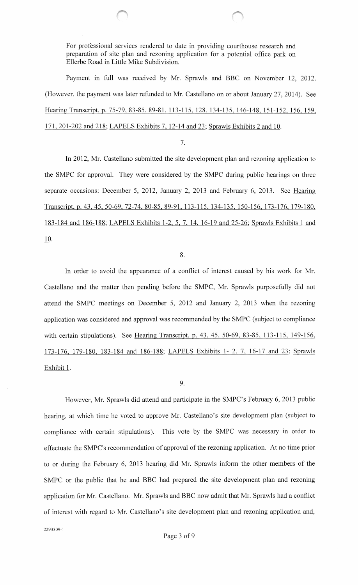For professional services rendered to date in providing courthouse research and preparation of site plan and rezoning application for a potential office park on Ellerbe Road in Little Mike Subdivision.

Payment in full was received by Mr. Sprawls and BBC on November 12, 2012. (However, the payment was later refunded to Mr. Castellano on or about January 27, 2014). See Hearing Transcript, p. 75-79, 83-85, 89-81, 113-115, 128, 134-135, 146-148, 151-152, 156, 159, 171, 201-202 and 218; LAPELS Exhibits 7, 12-14 and 23; Sprawls Exhibits 2 and 10.

### 7.

In 2012, Mr. Castellano submitted the site development plan and rezoning application to the SMPC for approval. They were considered by the SMPC during public hearings on three separate occasions: December 5, 2012, January 2, 2013 and February 6, 2013. See Hearing Transcript, p. 43, 45,50-69,72-74,80-85,89-91,113-115,134-135,150-156,173-176,179-180, 183-184 and 186-188; LAPELS Exhibits 1-2, 5, 7, 14, 16-19 and 25-26; Sprawls Exhibits 1 and 10.

### 8.

In order to avoid the appearance of a conflict of interest caused by his work for Mr. Castellano and the matter then pending before the SMPC, Mr. Sprawls purposefully did not attend the SMPC meetings on December 5, 2012 and January 2, 2013 when the rezoning application was considered and approval was recommended by the SMPC (subject to compliance with certain stipulations). See Hearing Transcript, p. 43, 45, 50-69, 83-85, 113-115, 149-156, 173-176 179-180 183-184 and 186-188; LAPELS Exhibits 1- 2, 7, 16-17 and 23; Sprawls Exhibit 1.

# 9.

However, Mr. Sprawls did attend and participate in the SMPC's February 6, 2013 public hearing, at which time he voted to approve Mr. Castellano's site development plan (subject to compliance with certain stipulations). This vote by the SMPC was necessary in order to effectuate the SMPC's recommendation of approval of the rezoning application. At no time prior to or during the February 6, 2013 hearing did Mr. Sprawls inform the other members of the SMPC or the public that he and BBC had prepared the site development plan and rezoning application for Mr. Castellano. Mr. Sprawls and BBC now admit that Mr. Sprawls had a conflict of interest with regard to Mr. Castellano's site development plan and rezoning application and,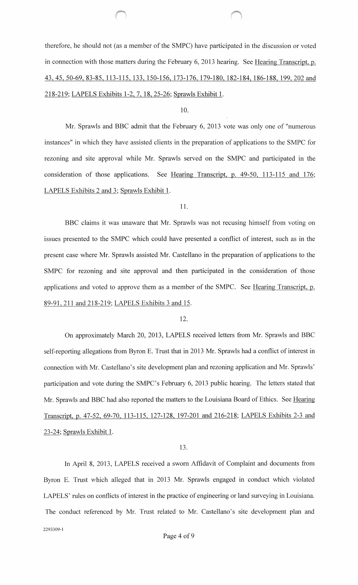therefore, he should not (as a member of the SMPC) have participated in the discussion or voted in connection with those matters during the February 6, 2013 hearing. See Hearing Transcript, p. 43, 45, 50-69, 83-85, 113-115, 133, 150-156, 173-176, 179-180, 182-184, 186-188, 199, 202 and 218-219; LAPELS Exhibits 1-2, 7, 18, 25-26; Sprawls Exhibit 1.

10.

Mr. Sprawls and BBC admit that the February 6, 2013 vote was only one of "numerous instances" in which they have assisted clients in the preparation of applications to the SMPC for rezoning and site approval while Mr. Sprawls served on the SMPC and participated in the consideration of those applications. See Hearing Transcript, p. 49-50, 113-115 and 176; LAPELS Exhibits 2 and 3; Sprawls Exhibit 1.

11.

BBC claims it was unaware that Mr. Sprawls was not recusing himself from voting on issues presented to the SMPC which could have presented a conflict of interest, such as in the present case where Mr. Sprawls assisted Mr. Castellano in the preparation of applications to the SMPC for rezoning and site approval and then participated in the consideration of those applications and voted to approve them as a member of the SMPC. See Hearing Transcript, p. 89-91,211 and 218-219; LAPELS Exhibits 3 and 15.

12.

On approximately March 20, 2013, LAPELS received letters from Mr. Sprawls and BBC self-reporting allegations from Byron E. Trust that in 2013 Mr. Sprawls had a conflict of interest in connection with Mr. Castellano's site development plan and rezoning application and Mr. Sprawls' participation and vote during the SMPC's February 6, 2013 public hearing. The letters stated that Mr. Sprawls and BBC had also reported the matters to the Louisiana Board of Ethics. See Hearing Transcript, p. 47-52, 69-70, 113-115, 127-128, 197-201 and 216-218; LAPELS Exhibits 2-3 and 23-24; Sprawls Exhibit 1.

13.

In April 8, 2013, LAPELS received a sworn Affidavit of Complaint and documents from Byron E. Trust which alleged that in 2013 Mr. Sprawls engaged in conduct which violated LAPELS' rules on conflicts of interest in the practice of engineering or land surveying in Louisiana. The conduct referenced by Mr. Trust related to Mr. Castellano's site development plan and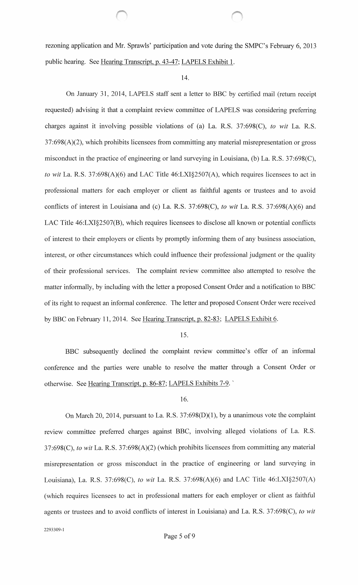rezoning application and Mr. Sprawls' participation and vote during the SMPC's February 6, 2013 public hearing. See Hearing Transcript, p. 43-47; LAPELS Exhibit 1.

#### 14.

On January 31, 2014, LAPELS staff sent a letter to BBC by certified mail (return receipt requested) advising it that a complaint review committee of LAPELS was considering preferring charges against it involving possible violations of (a) La. R.S. 37:698(C), *to wit* La. R.S. 37:698(A)(2), which prohibits licensees from committing any material misrepresentation or gross misconduct in the practice of engineering or land surveying in Louisiana, (b) La. R.S. 37:698(C), *to wit* La. R.S. 37:698(A)(6) and LAC Title 46:LXI§2507(A), which requires licensees to act in professional matters for each employer or client as faithful agents or trustees and to avoid conflicts of interest in Louisiana and (c) La. R.S. 37:698(C), *to wit* La. R.S. 37:698(A)(6) and LAC Title 46:LXI§2507(B), which requires licensees to disclose all known or potential conflicts of interest to their employers or clients by promptly informing them of any business association, interest, or other circumstances which could influence their professional judgment or the quality of their professional services. The complaint review committee also attempted to resolve the matter informally, by including with the letter a proposed Consent Order and a notification to BBC of its right to request an informal conference. The letter and proposed Consent Order were received by BBC on February 11, 2014. See Hearing Transcript, p. 82-83; LAPELS Exhibit 6.

15.

BBC subsequently declined the complaint review committee's offer of an informal conference and the parties were unable to resolve the matter through a Consent Order or otherwise. See Hearing Transcript, p. 86-87; LAPELS Exhibits 7-9. ·

#### 16.

On March 20, 2014, pursuant to La. R.S. 37:698(D)(l), by a unanimous vote the complaint review committee preferred charges against BBC, involving alleged violations of La. R.S. 37:698(C), *to wit* La. R.S. 37:698(A)(2) (which prohibits licensees from committing any material misrepresentation or gross misconduct in the practice of engineering or land surveying in Louisiana), La. R.S. 37:698(C), *to wit* La. R.S. 37:698(A)(6) and LAC Title 46:LXI§2507(A) (which requires licensees to act in professional matters for each employer or client as faithful agents or trustees and to avoid conflicts of interest in Louisiana) and La. R.S. 37:698(C), *to wit*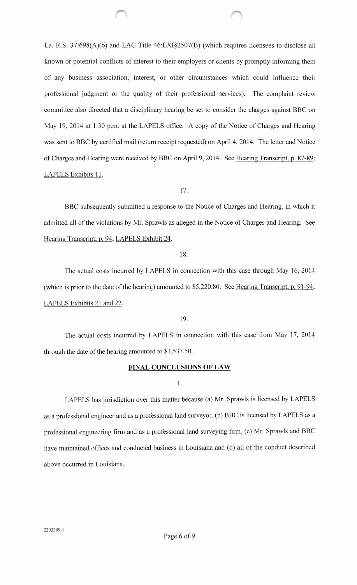La. R.S. 37:698(A)(6) and LAC Title 46:LXI§2507(B) (which requires licensees to disclose all known or potential conflicts of interest to their employers or clients by promptly informing them of any business association, interest, or other circumstances which could influence their professional judgment or the quality of their professional services). The complaint review committee also directed that a disciplinary hearing be set to consider the charges against BBC on May 19, 2014 at 1:30 p.m. at the LAPELS office. A copy of the Notice of Charges and Hearing was sent to BBC by certified mail (return receipt requested) on April 4, 2014. The letter and Notice of Charges and Hearing were received by BBC on April 9, 2014. See Hearing Transcript, p. 87 -89; LAPELS Exhibits 11.

17.

BBC subsequently submitted a response to the Notice of Charges and Hearing, in which it admitted all of the violations by Mr. Sprawls as alleged in the Notice of Charges and Hearing. See Hearing Transcript, p. 94; LAPELS Exhibit 24.

18.

The actual costs incurred by LAPELS in connection with this case through May 16, 2014 (which is prior to the date of the hearing) amounted to  $$5,220.80$ . See Hearing Transcript, p. 91-94; LAPELS Exhibits 21 and 22.

19.

The actual costs incurred by LAPELS in connection with this case from May 17, 2014 through the date of the hearing amounted to  $$1,537.50$ .

# **FINAL CONCLUSIONS OF LAW**

1.

LAPELS has jurisdiction over this matter because (a) Mr. Sprawls is licensed by LAPELS as a professional engineer and as a professional land surveyor, (b) BBC is licensed by LAPELS as a professional engineering firm and as a professional land surveying firm, (c) Mr. Sprawls and BBC have maintained offices and conducted business in Louisiana and (d) all of the conduct described above occurred in Louisiana.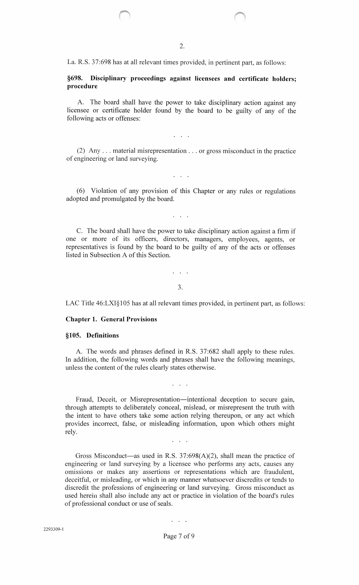La. R.S. 37:698 has at all relevant times provided, in pertinent part, as follows:

 $\bigcirc$ 

# **§698. Disciplinary proceedings against licensees and certificate holders; procedure**

A. The board shall have the power to take disciplinary action against any licensee or certificate holder found by the board to be guilty of any of the following acts or offenses:

 $\mathbf{1}$   $\mathbf{1}$   $\mathbf{1}$ 

(2) Any ... material misrepresentation ... or gross misconduct in the practice of engineering or land surveying.

(6) Violation of any provision of this Chapter or any rules or regulations adopted and promulgated by the board.

 $\mathcal{L}^{\text{max}}$  .

C. The board shall have the power to take disciplinary action against a firm if one or more of its officers, directors, managers, employees, agents, or representatives is found by the board to be guilty of any of the acts or offenses listed in Subsection A of this Section.

3.

 $\mathcal{L}^{\text{max}}$  .

LAC Title 46:LXI§105 has at all relevant times provided, in pertinent part, as follows:

### **Chapter 1. General Provisions**

#### **§105. Definitions**

A. The words and phrases defined in R.S. 37:682 shall apply to these rules. In addition, the following words and phrases shall have the following meanings, unless the content of the rules clearly states otherwise.

Fraud, Deceit, or Misrepresentation—intentional deception to secure gain, through attempts to deliberately conceal, mislead, or misrepresent the truth with the intent to have others take some action relying thereupon, or any act which provides incorrect, false, or misleading information, upon which others might rely.

 $\mathbf{z} = \mathbf{z} + \mathbf{z}$ 

Gross Misconduct—as used in R.S.  $37:698(A)(2)$ , shall mean the practice of engineering or land surveying by a licensee who performs any acts, causes any omissions or makes any assertions or representations which are fraudulent, deceitful, or misleading, or which in any manner whatsoever discredits or tends to discredit the professions of engineering or land surveying. Gross misconduct as used herein shall also include any act or practice in violation of the board's rules of professional conduct or use of seals.

Page 7 of 9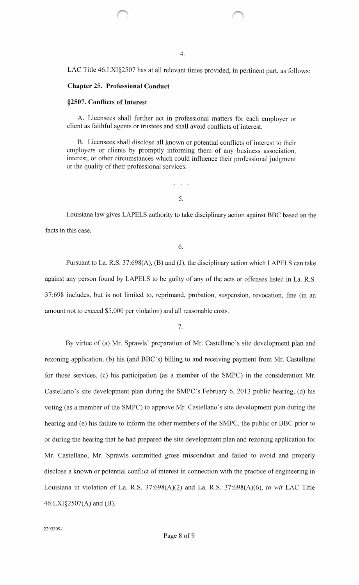LAC Title 46:LXI§2507 has at all relevant times provided, in pertinent part, as follows:

### **Chapter** 25. **Professional Conduct**

### **§2507. Conflicts of Interest**

A. Licensees shall further act in professional matters for each employer or client as faithful agents or trustees and shall avoid conflicts of interest.

B. Licensees shall disclose all known or potential conflicts of interest to their employers or clients by promptly informing them of any business association, interest, or other circumstances which could influence their professional judgment or the quality of their professional services.

5.

Louisiana law gives LAPELS authority to take disciplinary action against BBC based on the facts in this case.

6.

Pursuant to La. R.S. 37:698(A), (B) and (J), the disciplinary action which LAPELS can take against any person found by LAPELS to be guilty of any of the acts or offenses listed in La. R.S. 37:698 includes, but is not limited to, reprimand, probation, suspension, revocation, fine (in an amount not to exceed \$5,000 per violation) and all reasonable costs.

7.

By virtue of (a) Mr. Sprawls' preparation of Mr. Castellano's site development plan and rezoning application, (b) his (and BBC's) billing to and receiving payment from Mr. Castellano for those services, (c) his participation (as a member of the SMPC) in the consideration Mr. Castellano's site development plan during the SMPC's February 6, 2013 public hearing, (d) his voting (as a member of the SMPC) to approve Mr. Castellano's site development plan during the hearing and (e) his failure to inform the other members of the SMPC, the public or BBC prior to or during the hearing that he had prepared the site development plan and rezoning application for Mr. Castellano, Mr. Sprawls committed gross misconduct and failed to avoid and properly disclose a known or potential conflict of interest in connection with the practice of engineering in Louisiana in violation of La. R.S. 37:698(A)(2) and La. R.S. 37:698(A)(6), *to wit* LAC Title 46:LXI§2507(A) and (B).